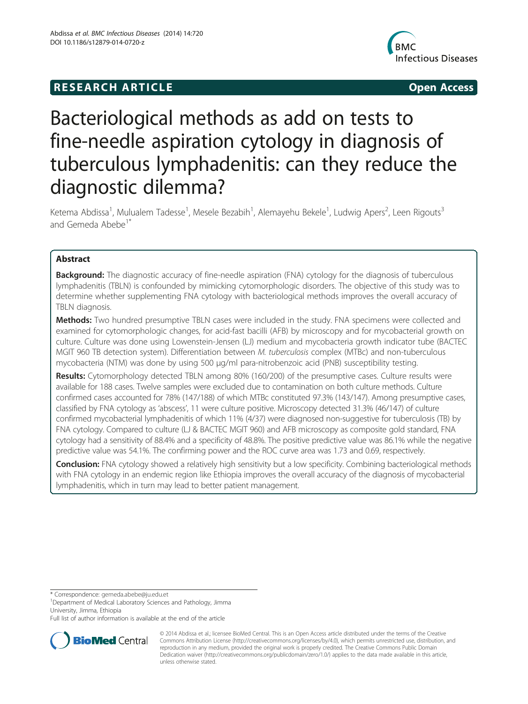# **RESEARCH ARTICLE Example 2014 12:30 The SEAR CHA RTICLE**



# Bacteriological methods as add on tests to fine-needle aspiration cytology in diagnosis of tuberculous lymphadenitis: can they reduce the diagnostic dilemma?

Ketema Abdissa<sup>1</sup>, Mulualem Tadesse<sup>1</sup>, Mesele Bezabih<sup>1</sup>, Alemayehu Bekele<sup>1</sup>, Ludwig Apers<sup>2</sup>, Leen Rigouts<sup>3</sup> and Gemeda Abebe<sup>1</sup>

# Abstract

Background: The diagnostic accuracy of fine-needle aspiration (FNA) cytology for the diagnosis of tuberculous lymphadenitis (TBLN) is confounded by mimicking cytomorphologic disorders. The objective of this study was to determine whether supplementing FNA cytology with bacteriological methods improves the overall accuracy of TBLN diagnosis.

Methods: Two hundred presumptive TBLN cases were included in the study. FNA specimens were collected and examined for cytomorphologic changes, for acid-fast bacilli (AFB) by microscopy and for mycobacterial growth on culture. Culture was done using Lowenstein-Jensen (LJ) medium and mycobacteria growth indicator tube (BACTEC MGIT 960 TB detection system). Differentiation between M. tuberculosis complex (MTBc) and non-tuberculous mycobacteria (NTM) was done by using 500 μg/ml para-nitrobenzoic acid (PNB) susceptibility testing.

Results: Cytomorphology detected TBLN among 80% (160/200) of the presumptive cases. Culture results were available for 188 cases. Twelve samples were excluded due to contamination on both culture methods. Culture confirmed cases accounted for 78% (147/188) of which MTBc constituted 97.3% (143/147). Among presumptive cases, classified by FNA cytology as 'abscess', 11 were culture positive. Microscopy detected 31.3% (46/147) of culture confirmed mycobacterial lymphadenitis of which 11% (4/37) were diagnosed non-suggestive for tuberculosis (TB) by FNA cytology. Compared to culture (LJ & BACTEC MGIT 960) and AFB microscopy as composite gold standard, FNA cytology had a sensitivity of 88.4% and a specificity of 48.8%. The positive predictive value was 86.1% while the negative predictive value was 54.1%. The confirming power and the ROC curve area was 1.73 and 0.69, respectively.

**Conclusion:** FNA cytology showed a relatively high sensitivity but a low specificity. Combining bacteriological methods with FNA cytology in an endemic region like Ethiopia improves the overall accuracy of the diagnosis of mycobacterial lymphadenitis, which in turn may lead to better patient management.

\* Correspondence: [gemeda.abebe@ju.edu.et](mailto:gemeda.abebe@ju.edu.et) <sup>1</sup>

<sup>1</sup>Department of Medical Laboratory Sciences and Pathology, Jimma University, Jimma, Ethiopia

Full list of author information is available at the end of the article



© 2014 Abdissa et al.; licensee BioMed Central. This is an Open Access article distributed under the terms of the Creative Commons Attribution License [\(http://creativecommons.org/licenses/by/4.0\)](http://creativecommons.org/licenses/by/4.0), which permits unrestricted use, distribution, and reproduction in any medium, provided the original work is properly credited. The Creative Commons Public Domain Dedication waiver [\(http://creativecommons.org/publicdomain/zero/1.0/](http://creativecommons.org/publicdomain/zero/1.0/)) applies to the data made available in this article, unless otherwise stated.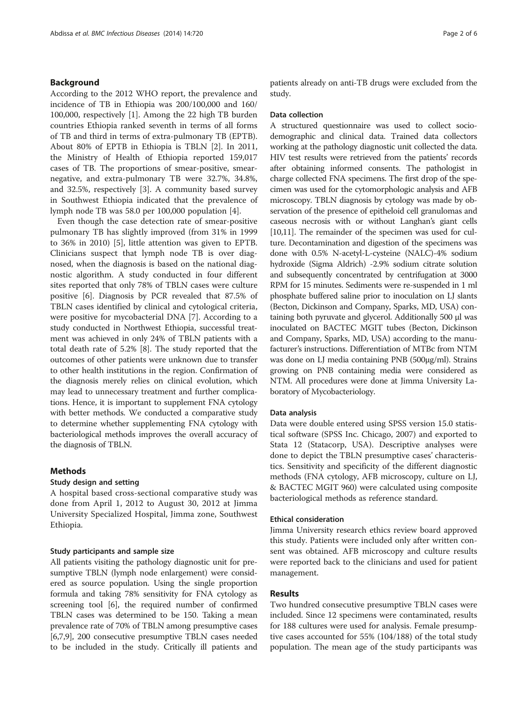#### Background

According to the 2012 WHO report, the prevalence and incidence of TB in Ethiopia was 200/100,000 and 160/ 100,000, respectively [\[1\]](#page-4-0). Among the 22 high TB burden countries Ethiopia ranked seventh in terms of all forms of TB and third in terms of extra-pulmonary TB (EPTB). About 80% of EPTB in Ethiopia is TBLN [\[2](#page-4-0)]. In 2011, the Ministry of Health of Ethiopia reported 159,017 cases of TB. The proportions of smear-positive, smearnegative, and extra-pulmonary TB were 32.7%, 34.8%, and 32.5%, respectively [[3\]](#page-4-0). A community based survey in Southwest Ethiopia indicated that the prevalence of lymph node TB was 58.0 per 100,000 population [\[4\]](#page-4-0).

Even though the case detection rate of smear-positive pulmonary TB has slightly improved (from 31% in 1999 to 36% in 2010) [\[5](#page-4-0)], little attention was given to EPTB. Clinicians suspect that lymph node TB is over diagnosed, when the diagnosis is based on the national diagnostic algorithm. A study conducted in four different sites reported that only 78% of TBLN cases were culture positive [\[6](#page-4-0)]. Diagnosis by PCR revealed that 87.5% of TBLN cases identified by clinical and cytological criteria, were positive for mycobacterial DNA [[7\]](#page-4-0). According to a study conducted in Northwest Ethiopia, successful treatment was achieved in only 24% of TBLN patients with a total death rate of 5.2% [\[8\]](#page-4-0). The study reported that the outcomes of other patients were unknown due to transfer to other health institutions in the region. Confirmation of the diagnosis merely relies on clinical evolution, which may lead to unnecessary treatment and further complications. Hence, it is important to supplement FNA cytology with better methods. We conducted a comparative study to determine whether supplementing FNA cytology with bacteriological methods improves the overall accuracy of the diagnosis of TBLN.

#### Methods

#### Study design and setting

A hospital based cross-sectional comparative study was done from April 1, 2012 to August 30, 2012 at Jimma University Specialized Hospital, Jimma zone, Southwest Ethiopia.

#### Study participants and sample size

All patients visiting the pathology diagnostic unit for presumptive TBLN (lymph node enlargement) were considered as source population. Using the single proportion formula and taking 78% sensitivity for FNA cytology as screening tool [[6\]](#page-4-0), the required number of confirmed TBLN cases was determined to be 150. Taking a mean prevalence rate of 70% of TBLN among presumptive cases [[6,7,9](#page-4-0)], 200 consecutive presumptive TBLN cases needed to be included in the study. Critically ill patients and

patients already on anti-TB drugs were excluded from the study.

### Data collection

A structured questionnaire was used to collect sociodemographic and clinical data. Trained data collectors working at the pathology diagnostic unit collected the data. HIV test results were retrieved from the patients' records after obtaining informed consents. The pathologist in charge collected FNA specimens. The first drop of the specimen was used for the cytomorphologic analysis and AFB microscopy. TBLN diagnosis by cytology was made by observation of the presence of epitheloid cell granulomas and caseous necrosis with or without Langhan's giant cells [[10,11\]](#page-4-0). The remainder of the specimen was used for culture. Decontamination and digestion of the specimens was done with 0.5% N-acetyl-L-cysteine (NALC)-4% sodium hydroxide (Sigma Aldrich) -2.9% sodium citrate solution and subsequently concentrated by centrifugation at 3000 RPM for 15 minutes. Sediments were re-suspended in 1 ml phosphate buffered saline prior to inoculation on LJ slants (Becton, Dickinson and Company, Sparks, MD, USA) containing both pyruvate and glycerol. Additionally 500 μl was inoculated on BACTEC MGIT tubes (Becton, Dickinson and Company, Sparks, MD, USA) according to the manufacturer's instructions. Differentiation of MTBc from NTM was done on LJ media containing PNB (500μg/ml). Strains growing on PNB containing media were considered as NTM. All procedures were done at Jimma University Laboratory of Mycobacteriology.

#### Data analysis

Data were double entered using SPSS version 15.0 statistical software (SPSS Inc. Chicago, 2007) and exported to Stata 12 (Statacorp, USA). Descriptive analyses were done to depict the TBLN presumptive cases' characteristics. Sensitivity and specificity of the different diagnostic methods (FNA cytology, AFB microscopy, culture on LJ, & BACTEC MGIT 960) were calculated using composite bacteriological methods as reference standard.

#### Ethical consideration

Jimma University research ethics review board approved this study. Patients were included only after written consent was obtained. AFB microscopy and culture results were reported back to the clinicians and used for patient management.

# Results

Two hundred consecutive presumptive TBLN cases were included. Since 12 specimens were contaminated, results for 188 cultures were used for analysis. Female presumptive cases accounted for 55% (104/188) of the total study population. The mean age of the study participants was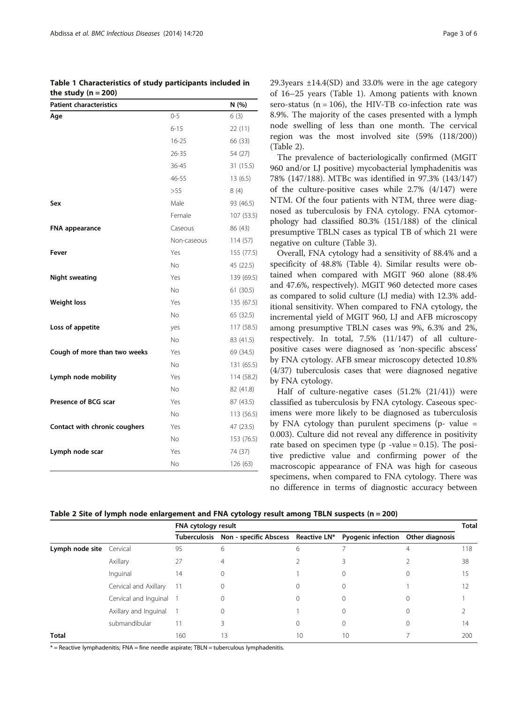Table 1 Characteristics of study participants included in the study  $(n = 200)$ 

| <b>Patient characteristics</b> |             | N(%)       |
|--------------------------------|-------------|------------|
| Age                            | $0 - 5$     | 6(3)       |
|                                | $6 - 15$    | 22(11)     |
|                                | $16 - 25$   | 66 (33)    |
|                                | $26 - 35$   | 54 (27)    |
|                                | $36 - 45$   | 31 (15.5)  |
|                                | 46-55       | 13(6.5)    |
|                                | >55         | 8(4)       |
| Sex                            | Male        | 93 (46.5)  |
|                                | Female      | 107 (53.5) |
| <b>FNA</b> appearance          | Caseous     | 86 (43)    |
|                                | Non-caseous | 114(57)    |
| Fever                          | Yes         | 155 (77.5) |
|                                | <b>No</b>   | 45 (22.5)  |
| <b>Night sweating</b>          | Yes         | 139 (69.5) |
|                                | <b>No</b>   | 61(30.5)   |
| <b>Weight loss</b>             | Yes         | 135 (67.5) |
|                                | <b>No</b>   | 65 (32.5)  |
| Loss of appetite               | yes         | 117 (58.5) |
|                                | <b>No</b>   | 83 (41.5)  |
| Cough of more than two weeks   | Yes         | 69 (34.5)  |
|                                | <b>No</b>   | 131 (65.5) |
| Lymph node mobility            | Yes         | 114 (58.2) |
|                                | <b>No</b>   | 82 (41.8)  |
| <b>Presence of BCG scar</b>    | Yes         | 87 (43.5)  |
|                                | <b>No</b>   | 113 (56.5) |
| Contact with chronic coughers  | Yes         | 47 (23.5)  |
|                                | <b>No</b>   | 153 (76.5) |
| Lymph node scar                | Yes         | 74 (37)    |
|                                | No          | 126 (63)   |

29.3years ±14.4(SD) and 33.0% were in the age category of 16–25 years (Table 1). Among patients with known sero-status ( $n = 106$ ), the HIV-TB co-infection rate was 8.9%. The majority of the cases presented with a lymph node swelling of less than one month. The cervical region was the most involved site (59% (118/200)) (Table 2).

The prevalence of bacteriologically confirmed (MGIT 960 and/or LJ positive) mycobacterial lymphadenitis was 78% (147/188). MTBc was identified in 97.3% (143/147) of the culture-positive cases while 2.7% (4/147) were NTM. Of the four patients with NTM, three were diagnosed as tuberculosis by FNA cytology. FNA cytomorphology had classified 80.3% (151/188) of the clinical presumptive TBLN cases as typical TB of which 21 were negative on culture (Table [3\)](#page-3-0).

Overall, FNA cytology had a sensitivity of 88.4% and a specificity of 48.8% (Table [4\)](#page-3-0). Similar results were obtained when compared with MGIT 960 alone (88.4% and 47.6%, respectively). MGIT 960 detected more cases as compared to solid culture (LJ media) with 12.3% additional sensitivity. When compared to FNA cytology, the incremental yield of MGIT 960, LJ and AFB microscopy among presumptive TBLN cases was 9%, 6.3% and 2%, respectively. In total, 7.5% (11/147) of all culturepositive cases were diagnosed as 'non-specific abscess' by FNA cytology. AFB smear microscopy detected 10.8% (4/37) tuberculosis cases that were diagnosed negative by FNA cytology.

Half of culture-negative cases (51.2% (21/41)) were classified as tuberculosis by FNA cytology. Caseous specimens were more likely to be diagnosed as tuberculosis by FNA cytology than purulent specimens (p- value  $=$ 0.003). Culture did not reveal any difference in positivity rate based on specimen type ( $p$  -value = 0.15). The positive predictive value and confirming power of the macroscopic appearance of FNA was high for caseous specimens, when compared to FNA cytology. There was no difference in terms of diagnostic accuracy between

| Table 2 Site of lymph node enlargement and FNA cytology result among TBLN suspects (n = 200) |  |  |  |
|----------------------------------------------------------------------------------------------|--|--|--|
|                                                                                              |  |  |  |

|                          |                       | FNA cytology result |                                                                        |    | <b>Total</b>     |  |     |
|--------------------------|-----------------------|---------------------|------------------------------------------------------------------------|----|------------------|--|-----|
|                          |                       | <b>Tuberculosis</b> | Non - specific Abscess Reactive LN* Pyogenic infection Other diagnosis |    |                  |  |     |
| Lymph node site Cervical |                       | 95                  | 6                                                                      | 6  |                  |  | 118 |
|                          | Axillary              | 27                  |                                                                        |    |                  |  | 38  |
|                          | Inguinal              | 14                  |                                                                        |    |                  |  | 15  |
|                          | Cervical and Axillary | -11                 |                                                                        |    | $\left( \right)$ |  |     |
|                          | Cervical and Inquinal |                     |                                                                        | ∩  |                  |  |     |
|                          | Axillary and Inguinal |                     |                                                                        |    | 0                |  |     |
|                          | submandibular         | 11                  |                                                                        | 0  | 0                |  | 14  |
| <b>Total</b>             |                       | 160                 | 13                                                                     | 10 | 10               |  | 200 |

 $*$  = Reactive lymphadenitis; FNA = fine needle aspirate; TBLN = tuberculous lymphadenitis.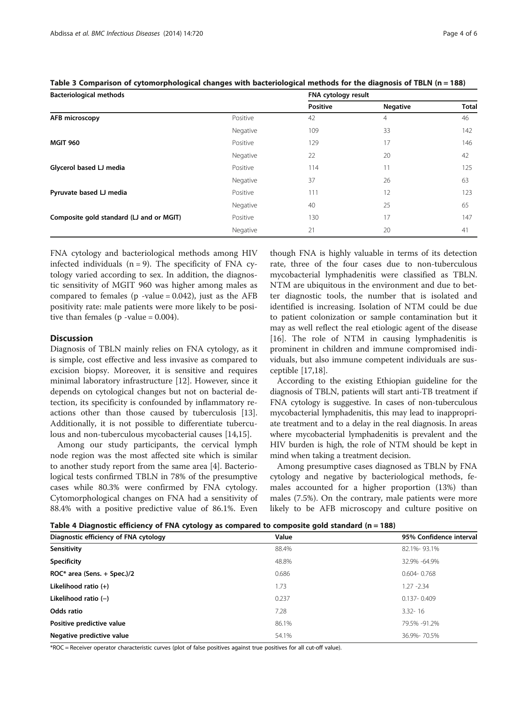| <b>Bacteriological methods</b>           |          | FNA cytology result |                 |              |
|------------------------------------------|----------|---------------------|-----------------|--------------|
|                                          |          | <b>Positive</b>     | <b>Negative</b> | <b>Total</b> |
| AFB microscopy                           | Positive | 42                  | 4               | 46           |
|                                          | Negative | 109                 | 33              | 142          |
| <b>MGIT 960</b>                          | Positive | 129                 | 17              | 146          |
|                                          | Negative | 22                  | 20              | 42           |
| Glycerol based LJ media                  | Positive | 114                 | 11              | 125          |
|                                          | Negative | 37                  | 26              | 63           |
| Pyruvate based LJ media                  | Positive | 111                 | 12              | 123          |
|                                          | Negative | 40                  | 25              | 65           |
| Composite gold standard (LJ and or MGIT) | Positive | 130                 | 17              | 147          |
|                                          | Negative | 21                  | 20              | 41           |

<span id="page-3-0"></span>Table 3 Comparison of cytomorphological changes with bacteriological methods for the diagnosis of TBLN (n = 188)

FNA cytology and bacteriological methods among HIV infected individuals  $(n = 9)$ . The specificity of FNA cytology varied according to sex. In addition, the diagnostic sensitivity of MGIT 960 was higher among males as compared to females ( $p$  -value = 0.042), just as the AFB positivity rate: male patients were more likely to be positive than females ( $p$  -value = 0.004).

# **Discussion**

Diagnosis of TBLN mainly relies on FNA cytology, as it is simple, cost effective and less invasive as compared to excision biopsy. Moreover, it is sensitive and requires minimal laboratory infrastructure [\[12](#page-4-0)]. However, since it depends on cytological changes but not on bacterial detection, its specificity is confounded by inflammatory reactions other than those caused by tuberculosis [\[13](#page-5-0)]. Additionally, it is not possible to differentiate tuberculous and non-tuberculous mycobacterial causes [[14,15\]](#page-5-0).

Among our study participants, the cervical lymph node region was the most affected site which is similar to another study report from the same area [\[4](#page-4-0)]. Bacteriological tests confirmed TBLN in 78% of the presumptive cases while 80.3% were confirmed by FNA cytology. Cytomorphological changes on FNA had a sensitivity of 88.4% with a positive predictive value of 86.1%. Even

though FNA is highly valuable in terms of its detection rate, three of the four cases due to non-tuberculous mycobacterial lymphadenitis were classified as TBLN. NTM are ubiquitous in the environment and due to better diagnostic tools, the number that is isolated and identified is increasing. Isolation of NTM could be due to patient colonization or sample contamination but it may as well reflect the real etiologic agent of the disease [[16\]](#page-5-0). The role of NTM in causing lymphadenitis is prominent in children and immune compromised individuals, but also immune competent individuals are susceptible [[17](#page-5-0),[18](#page-5-0)].

According to the existing Ethiopian guideline for the diagnosis of TBLN, patients will start anti-TB treatment if FNA cytology is suggestive. In cases of non-tuberculous mycobacterial lymphadenitis, this may lead to inappropriate treatment and to a delay in the real diagnosis. In areas where mycobacterial lymphadenitis is prevalent and the HIV burden is high, the role of NTM should be kept in mind when taking a treatment decision.

Among presumptive cases diagnosed as TBLN by FNA cytology and negative by bacteriological methods, females accounted for a higher proportion (13%) than males (7.5%). On the contrary, male patients were more likely to be AFB microscopy and culture positive on

Table 4 Diagnostic efficiency of FNA cytology as compared to composite gold standard (n = 188)

| Diagnostic efficiency of FNA cytology | Value | 95% Confidence interval |
|---------------------------------------|-------|-------------------------|
| Sensitivity                           | 88.4% | 82.1%-93.1%             |
| <b>Specificity</b>                    | 48.8% | 32.9% -64.9%            |
| ROC* area (Sens. + Spec.)/2           | 0.686 | $0.604 - 0.768$         |
| Likelihood ratio (+)                  | 1.73  | $1.27 - 2.34$           |
| Likelihood ratio $(-)$                | 0.237 | $0.137 - 0.409$         |
| Odds ratio                            | 7.28  | $3.32 - 16$             |
| Positive predictive value             | 86.1% | 79.5% -91.2%            |
| Negative predictive value             | 54.1% | 36.9%-70.5%             |

\*ROC = Receiver operator characteristic curves (plot of false positives against true positives for all cut-off value).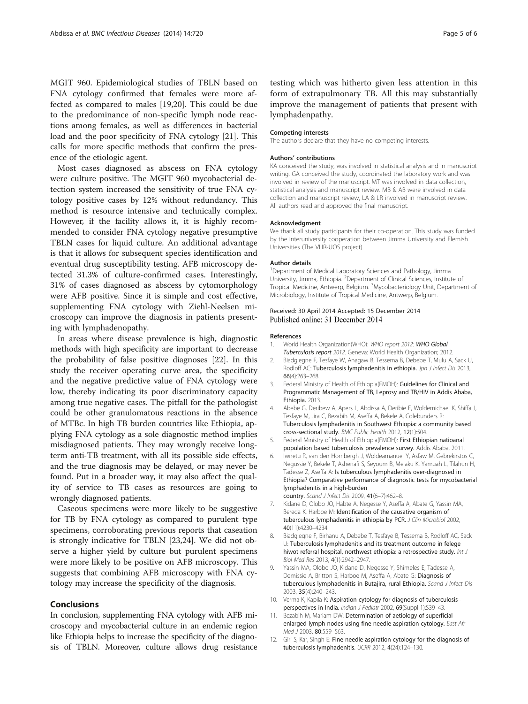<span id="page-4-0"></span>MGIT 960. Epidemiological studies of TBLN based on FNA cytology confirmed that females were more affected as compared to males [\[19,20](#page-5-0)]. This could be due to the predominance of non-specific lymph node reactions among females, as well as differences in bacterial load and the poor specificity of FNA cytology [[21\]](#page-5-0). This calls for more specific methods that confirm the presence of the etiologic agent.

Most cases diagnosed as abscess on FNA cytology were culture positive. The MGIT 960 mycobacterial detection system increased the sensitivity of true FNA cytology positive cases by 12% without redundancy. This method is resource intensive and technically complex. However, if the facility allows it, it is highly recommended to consider FNA cytology negative presumptive TBLN cases for liquid culture. An additional advantage is that it allows for subsequent species identification and eventual drug susceptibility testing. AFB microscopy detected 31.3% of culture-confirmed cases. Interestingly, 31% of cases diagnosed as abscess by cytomorphology were AFB positive. Since it is simple and cost effective, supplementing FNA cytology with Ziehl-Neelsen microscopy can improve the diagnosis in patients presenting with lymphadenopathy.

In areas where disease prevalence is high, diagnostic methods with high specificity are important to decrease the probability of false positive diagnoses [\[22](#page-5-0)]. In this study the receiver operating curve area, the specificity and the negative predictive value of FNA cytology were low, thereby indicating its poor discriminatory capacity among true negative cases. The pitfall for the pathologist could be other granulomatous reactions in the absence of MTBc. In high TB burden countries like Ethiopia, applying FNA cytology as a sole diagnostic method implies misdiagnosed patients. They may wrongly receive longterm anti-TB treatment, with all its possible side effects, and the true diagnosis may be delayed, or may never be found. Put in a broader way, it may also affect the quality of service to TB cases as resources are going to wrongly diagnosed patients.

Caseous specimens were more likely to be suggestive for TB by FNA cytology as compared to purulent type specimens, corroborating previous reports that caseation is strongly indicative for TBLN [[23,24\]](#page-5-0). We did not observe a higher yield by culture but purulent specimens were more likely to be positive on AFB microscopy. This suggests that combining AFB microscopy with FNA cytology may increase the specificity of the diagnosis.

#### Conclusions

In conclusion, supplementing FNA cytology with AFB microscopy and mycobacterial culture in an endemic region like Ethiopia helps to increase the specificity of the diagnosis of TBLN. Moreover, culture allows drug resistance

testing which was hitherto given less attention in this form of extrapulmonary TB. All this may substantially improve the management of patients that present with lymphadenpathy.

#### Competing interests

The authors declare that they have no competing interests.

#### Authors' contributions

KA conceived the study, was involved in statistical analysis and in manuscript writing. GA conceived the study, coordinated the laboratory work and was involved in review of the manuscript. MT was involved in data collection, statistical analysis and manuscript review. MB & AB were involved in data collection and manuscript review, LA & LR involved in manuscript review. All authors read and approved the final manuscript.

#### Acknowledgment

We thank all study participants for their co-operation. This study was funded by the interuniversity cooperation between Jimma University and Flemish Universities (The VLIR-UOS project).

#### Author details

<sup>1</sup>Department of Medical Laboratory Sciences and Pathology, Jimma University, Jimma, Ethiopia. <sup>2</sup>Department of Clinical Sciences, Institute of Tropical Medicine, Antwerp, Belgium. <sup>3</sup>Mycobacteriology Unit, Department of Microbiology, Institute of Tropical Medicine, Antwerp, Belgium.

#### Received: 30 April 2014 Accepted: 15 December 2014 Published online: 31 December 2014

#### References

- World Health Organization(WHO): WHO report 2012: WHO Global Tuberculosis report 2012. Geneva: World Health Organization; 2012.
- 2. Biadglegne F, Tesfaye W, Anagaw B, Tessema B, Debebe T, Mulu A, Sack U, Rodloff AC: Tuberculosis lymphadenitis in ethiopia. Jpn J Infect Dis 2013, 66(4):263–268.
- 3. Federal Ministry of Health of Ethiopia(FMOH): Guidelines for Clinical and Programmatic Management of TB, Leprosy and TB/HIV in Addis Ababa, Ethiopia. 2013.
- 4. Abebe G, Deribew A, Apers L, Abdissa A, Deribie F, Woldemichael K, Shiffa J, Tesfaye M, Jira C, Bezabih M, Aseffa A, Bekele A, Colebunders R: Tuberculosis lymphadenitis in Southwest Ethiopia: a community based cross-sectional study. BMC Public Health 2012, 12(1):504.
- 5. Federal Ministry of Health of Ethiopia(FMOH): First Ethiopian natioanal population based tuberculosis prevalence survey. Addis Ababa, 2011.
- 6. Iwnetu R, van den Hombergh J, Woldeamanuel Y, Asfaw M, Gebrekirstos C, Negussie Y, Bekele T, Ashenafi S, Seyoum B, Melaku K, Yamuah L, Tilahun H, Tadesse Z, Aseffa A: Is tuberculous lymphadenitis over-diagnosed in Ethiopia? Comparative performance of diagnostic tests for mycobacterial lymphadenitis in a high-burden country. Scand J Infect Dis 2009, 41(6–7):462–8.
- 7. Kidane D, Olobo JO, Habte A, Negesse Y, Aseffa A, Abate G, Yassin MA, Bereda K, Harboe M: Identification of the causative organism of tuberculous lymphadenitis in ethiopia by PCR. J Clin Microbiol 2002, 40(11):4230–4234.
- 8. Biadglegne F, Birhanu A, Debebe T, Tesfaye B, Tessema B, Rodloff AC, Sack U: Tuberculosis lymphadenitis and its treatment outcome in felege hiwot referral hospital, northwest ethiopia: a retrospective study. Int J Biol Med Res 2013, 4(1):2942–2947.
- 9. Yassin MA, Olobo JO, Kidane D, Negesse Y, Shimeles E, Tadesse A, Demissie A, Britton S, Harboe M, Aseffa A, Abate G: Diagnosis of tuberculous lymphadenitis in Butajira, rural Ethiopia. Scand J Infect Dis 2003, 35(4):240–243.
- 10. Verma K, Kapila K: Aspiration cytology for diagnosis of tuberculosisperspectives in India. Indian J Pediatr 2002, 69(Suppl 1):S39-43.
- 11. Bezabih M, Mariam DW: Determination of aetiology of superficial enlarged lymph nodes using fine needle aspiration cytology. East Afr Med J 2003, 80:559-563.
- 12. Giri S, Kar, Singh E: Fine needle aspiration cytology for the diagnosis of tuberculosis lymphadenitis. UCRR 2012, 4(24):124–130.